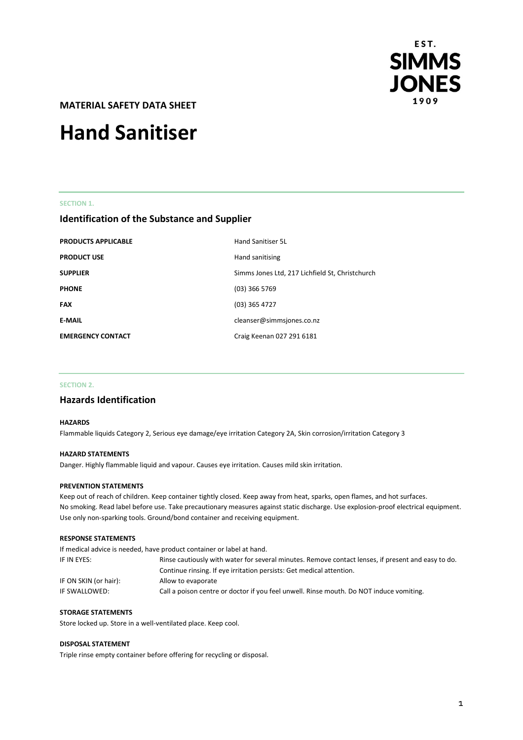

**MATERIAL SAFETY DATA SHEET** 

# **Hand Sanitiser**

#### **SECTION 1.**

# **Identification of the Substance and Supplier**

| <b>PRODUCTS APPLICABLE</b> | Hand Sanitiser 5L                               |
|----------------------------|-------------------------------------------------|
| <b>PRODUCT USE</b>         | Hand sanitising                                 |
| <b>SUPPLIER</b>            | Simms Jones Ltd, 217 Lichfield St, Christchurch |
| <b>PHONE</b>               | $(03)$ 366 5769                                 |
| <b>FAX</b>                 | (03) 365 4727                                   |
| <b>E-MAIL</b>              | cleanser@simmsjones.co.nz                       |
| <b>EMERGENCY CONTACT</b>   | Craig Keenan 027 291 6181                       |

#### **SECTION 2.**

# **Hazards Identification**

# **HAZARDS**

Flammable liquids Category 2, Serious eye damage/eye irritation Category 2A, Skin corrosion/irritation Category 3

#### **HAZARD STATEMENTS**

Danger. Highly flammable liquid and vapour. Causes eye irritation. Causes mild skin irritation.

## **PREVENTION STATEMENTS**

Keep out of reach of children. Keep container tightly closed. Keep away from heat, sparks, open flames, and hot surfaces. No smoking. Read label before use. Take precautionary measures against static discharge. Use explosion-proof electrical equipment. Use only non-sparking tools. Ground/bond container and receiving equipment.

#### **RESPONSE STATEMENTS**

|                       | If medical advice is needed, have product container or label at hand.                              |  |
|-----------------------|----------------------------------------------------------------------------------------------------|--|
| IF IN EYES:           | Rinse cautiously with water for several minutes. Remove contact lenses, if present and easy to do. |  |
|                       | Continue rinsing. If eye irritation persists: Get medical attention.                               |  |
| IF ON SKIN (or hair): | Allow to evaporate                                                                                 |  |
| IF SWALLOWED:         | Call a poison centre or doctor if you feel unwell. Rinse mouth. Do NOT induce vomiting.            |  |

# **STORAGE STATEMENTS**

Store locked up. Store in a well-ventilated place. Keep cool.

#### **DISPOSAL STATEMENT**

Triple rinse empty container before offering for recycling or disposal.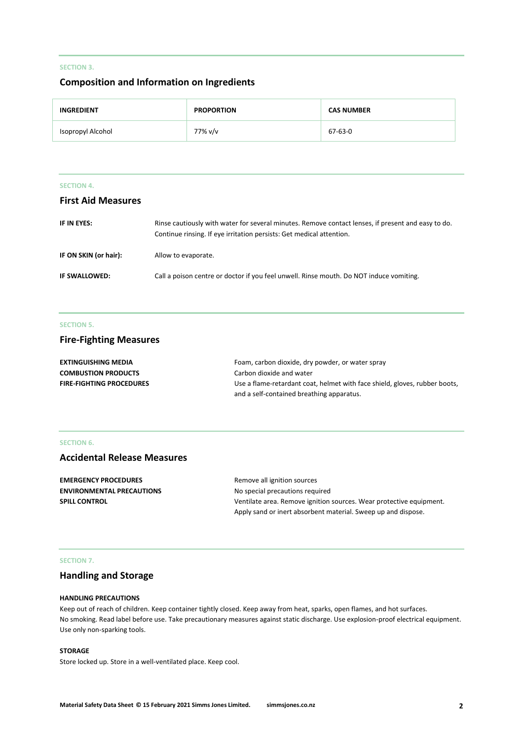# **SECTION 3.**

# **Composition and Information on Ingredients**

| <b>INGREDIENT</b> | <b>PROPORTION</b> | <b>CAS NUMBER</b> |
|-------------------|-------------------|-------------------|
| Isopropyl Alcohol | 77% v/v           | 67-63-0           |

|  |  | CTION |  |
|--|--|-------|--|
|  |  |       |  |

# **First Aid Measures**

| IF IN EYES:           | Rinse cautiously with water for several minutes. Remove contact lenses, if present and easy to do.<br>Continue rinsing. If eye irritation persists: Get medical attention. |
|-----------------------|----------------------------------------------------------------------------------------------------------------------------------------------------------------------------|
| IF ON SKIN (or hair): | Allow to evaporate.                                                                                                                                                        |
| IF SWALLOWED:         | Call a poison centre or doctor if you feel unwell. Rinse mouth. Do NOT induce vomiting.                                                                                    |

# **SECTION 5.**

# **Fire-Fighting Measures**

| <b>EXTINGUISHING MEDIA</b>      | Foam, carbon dioxide, dry powder, or water spray                           |
|---------------------------------|----------------------------------------------------------------------------|
| <b>COMBUSTION PRODUCTS</b>      | Carbon dioxide and water                                                   |
| <b>FIRE-FIGHTING PROCEDURES</b> | Use a flame-retardant coat, helmet with face shield, gloves, rubber boots, |
|                                 | and a self-contained breathing apparatus.                                  |

# **SECTION 6.**

# **Accidental Release Measures**

| <b>EMERGENCY PROCEDURES</b>      | Remove all ignition sources                                         |
|----------------------------------|---------------------------------------------------------------------|
| <b>ENVIRONMENTAL PRECAUTIONS</b> | No special precautions required                                     |
| <b>SPILL CONTROL</b>             | Ventilate area. Remove ignition sources. Wear protective equipment. |
|                                  | Apply sand or inert absorbent material. Sweep up and dispose.       |

#### **SECTION 7.**

# **Handling and Storage**

## **HANDLING PRECAUTIONS**

Keep out of reach of children. Keep container tightly closed. Keep away from heat, sparks, open flames, and hot surfaces. No smoking. Read label before use. Take precautionary measures against static discharge. Use explosion-proof electrical equipment. Use only non-sparking tools.

#### **STORAGE**

Store locked up. Store in a well-ventilated place. Keep cool.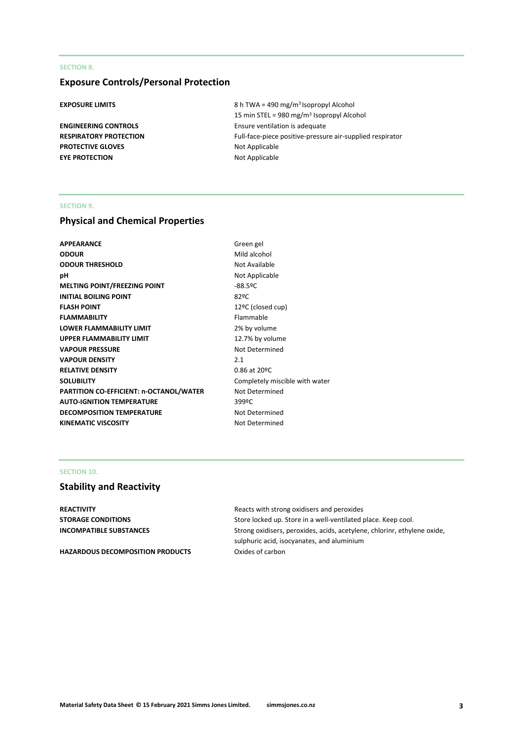# **SECTION 8.**

# **Exposure Controls/Personal Protection**

**PROTECTIVE GLOVES** Not Applicable **EYE PROTECTION** Not Applicable

**EXPOSURE LIMITS** 8 h TWA = 490 mg/m<sup>3</sup> Isopropyl Alcohol 15 min STEL = 980 mg/m<sup>3</sup> Isopropyl Alcohol **ENGINEERING CONTROLS** Ensure ventilation is adequate **RESPIRATORY PROTECTION** Full-face-piece positive-pressure air-supplied respirator

# **SECTION 9.**

# **Physical and Chemical Properties**

| APPEARANCE                              | Green g   |
|-----------------------------------------|-----------|
| <b>ODOUR</b>                            | Mild ald  |
| <b>ODOUR THRESHOLD</b>                  | Not Ava   |
| pН                                      | Not App   |
| MELTING POINT/FREEZING POINT            | $-88.59C$ |
| <b>INITIAL BOILING POINT</b>            | 82ºC      |
| <b>FLASH POINT</b>                      | 12ºC (c   |
| <b>FLAMMABILITY</b>                     | Flamma    |
| LOWER FLAMMABILITY LIMIT                | 2% by v   |
| <b>UPPER FLAMMABILITY LIMIT</b>         | 12.7% b   |
| <b>VAPOUR PRESSURE</b>                  | Not Det   |
| <b>VAPOUR DENSITY</b>                   | 2.1       |
| <b>RELATIVE DENSITY</b>                 | $0.86$ at |
| <b>SOLUBILITY</b>                       | Comple    |
| PARTITION CO-EFFICIENT: n-OCTANOL/WATER | Not Det   |
| <b>AUTO-IGNITION TEMPERATURE</b>        | 399ºC     |
| <b>DECOMPOSITION TEMPERATURE</b>        | Not Det   |
| KINEMATIC VISCOSITY                     | Not Det   |
|                                         |           |

**Green gel Mild alcohol Not Available Not Applicable** 12ºC (closed cup) **Flammable** 2% by volume 12.7% by volume **Not Determined RELATIVE DENSITY** 0.86 at 20ºC Completely miscible with water **Not Determined Not Determined Not Determined** 

# **SECTION 10.**

# **Stability and Reactivity**

**REACTIVITY REACTIVITY Reacts** with strong oxidisers and peroxides

HAZARDOUS DECOMPOSITION PRODUCTS Oxides of carbon

**STORAGE CONDITIONS** Store locked up. Store in a well-ventilated place. Keep cool. **INCOMPATIBLE SUBSTANCES** Strong oxidisers, peroxides, acids, acetylene, chlorinr, ethylene oxide, sulphuric acid, isocyanates, and aluminium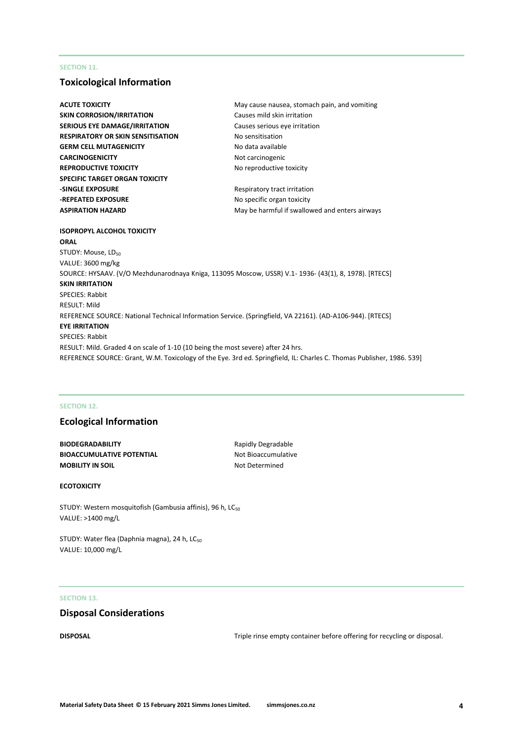# **SECTION 11.**

# **Toxicological Information**

| <b>ACUTE TOXICITY</b>                                                                                     | May cause nausea, stomach pain, and vomiting                                                                          |
|-----------------------------------------------------------------------------------------------------------|-----------------------------------------------------------------------------------------------------------------------|
| <b>SKIN CORROSION/IRRITATION</b>                                                                          | Causes mild skin irritation                                                                                           |
| <b>SERIOUS EYE DAMAGE/IRRITATION</b>                                                                      | Causes serious eye irritation                                                                                         |
| RESPIRATORY OR SKIN SENSITISATION                                                                         | No sensitisation                                                                                                      |
| <b>GERM CELL MUTAGENICITY</b>                                                                             | No data available                                                                                                     |
| <b>CARCINOGENICITY</b>                                                                                    | Not carcinogenic                                                                                                      |
| <b>REPRODUCTIVE TOXICITY</b>                                                                              | No reproductive toxicity                                                                                              |
| SPECIFIC TARGET ORGAN TOXICITY                                                                            |                                                                                                                       |
| <b>-SINGLE EXPOSURE</b>                                                                                   | Respiratory tract irritation                                                                                          |
| -REPEATED EXPOSURE                                                                                        | No specific organ toxicity                                                                                            |
| <b>ASPIRATION HAZARD</b>                                                                                  | May be harmful if swallowed and enters airways                                                                        |
|                                                                                                           |                                                                                                                       |
| ISOPROPYL ALCOHOL TOXICITY                                                                                |                                                                                                                       |
| ORAL                                                                                                      |                                                                                                                       |
| STUDY: Mouse, LD <sub>50</sub>                                                                            |                                                                                                                       |
| VALUE: 3600 mg/kg                                                                                         |                                                                                                                       |
| SOURCE: HYSAAV. (V/O Mezhdunarodnaya Kniga, 113095 Moscow, USSR) V.1- 1936- (43(1), 8, 1978). [RTECS]     |                                                                                                                       |
| SKIN IRRITATION                                                                                           |                                                                                                                       |
| <b>SPECIES: Rabbit</b>                                                                                    |                                                                                                                       |
| RESULT: Mild                                                                                              |                                                                                                                       |
| REFERENCE SOURCE: National Technical Information Service. (Springfield, VA 22161). (AD-A106-944). [RTECS] |                                                                                                                       |
| <b>EYE IRRITATION</b>                                                                                     |                                                                                                                       |
| <b>SPECIES: Rabbit</b>                                                                                    |                                                                                                                       |
| RESULT: Mild. Graded 4 on scale of 1-10 (10 being the most severe) after 24 hrs.                          |                                                                                                                       |
|                                                                                                           | REFERENCE SOURCE: Grant, W.M. Toxicology of the Eye. 3rd ed. Springfield, IL: Charles C. Thomas Publisher, 1986. 539] |
|                                                                                                           |                                                                                                                       |

### **SECTION 12.**

# **Ecological Information**

**BIODEGRADABILITY** Rapidly Degradable **BIOACCUMULATIVE POTENTIAL** Not Bioaccumulative **MOBILITY IN SOIL** MOBILITY IN SOIL

# **ECOTOXICITY**

STUDY: Western mosquitofish (Gambusia affinis), 96 h, LC<sub>50</sub> VALUE: >1400 mg/L

STUDY: Water flea (Daphnia magna), 24 h, LC<sub>50</sub> VALUE: 10,000 mg/L

# **SECTION 13.**

# **Disposal Considerations**

**DISPOSAL** DISPOSAL **EXECUTE:** Triple rinse empty container before offering for recycling or disposal.